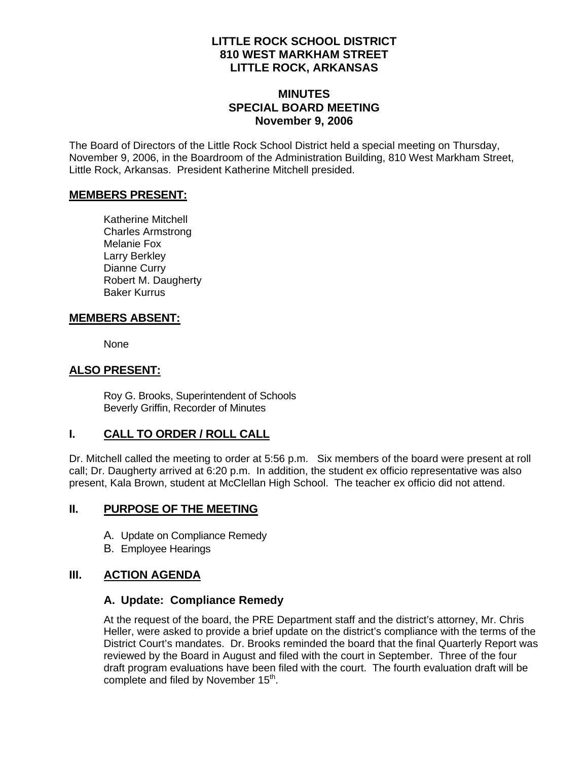### **LITTLE ROCK SCHOOL DISTRICT 810 WEST MARKHAM STREET LITTLE ROCK, ARKANSAS**

## **MINUTES SPECIAL BOARD MEETING November 9, 2006**

The Board of Directors of the Little Rock School District held a special meeting on Thursday, November 9, 2006, in the Boardroom of the Administration Building, 810 West Markham Street, Little Rock, Arkansas. President Katherine Mitchell presided.

### **MEMBERS PRESENT:**

Katherine Mitchell Charles Armstrong Melanie Fox Larry Berkley Dianne Curry Robert M. Daugherty Baker Kurrus

## **MEMBERS ABSENT:**

None

## **ALSO PRESENT:**

 Roy G. Brooks, Superintendent of Schools Beverly Griffin, Recorder of Minutes

# **I. CALL TO ORDER / ROLL CALL**

Dr. Mitchell called the meeting to order at 5:56 p.m. Six members of the board were present at roll call; Dr. Daugherty arrived at 6:20 p.m. In addition, the student ex officio representative was also present, Kala Brown, student at McClellan High School. The teacher ex officio did not attend.

## **II. PURPOSE OF THE MEETING**

- A. Update on Compliance Remedy
- B. Employee Hearings

# **III. ACTION AGENDA**

## **A. Update: Compliance Remedy**

At the request of the board, the PRE Department staff and the district's attorney, Mr. Chris Heller, were asked to provide a brief update on the district's compliance with the terms of the District Court's mandates. Dr. Brooks reminded the board that the final Quarterly Report was reviewed by the Board in August and filed with the court in September. Three of the four draft program evaluations have been filed with the court. The fourth evaluation draft will be complete and filed by November 15<sup>th</sup>.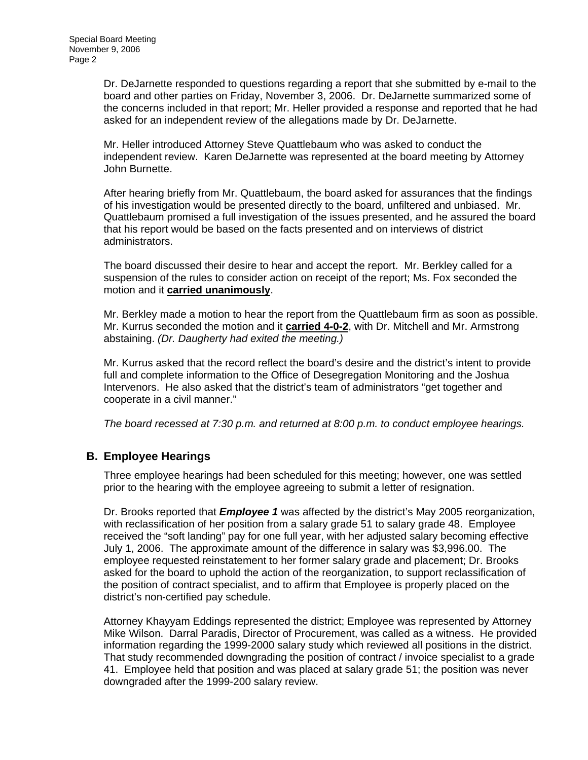Dr. DeJarnette responded to questions regarding a report that she submitted by e-mail to the board and other parties on Friday, November 3, 2006. Dr. DeJarnette summarized some of the concerns included in that report; Mr. Heller provided a response and reported that he had asked for an independent review of the allegations made by Dr. DeJarnette.

Mr. Heller introduced Attorney Steve Quattlebaum who was asked to conduct the independent review. Karen DeJarnette was represented at the board meeting by Attorney John Burnette.

After hearing briefly from Mr. Quattlebaum, the board asked for assurances that the findings of his investigation would be presented directly to the board, unfiltered and unbiased. Mr. Quattlebaum promised a full investigation of the issues presented, and he assured the board that his report would be based on the facts presented and on interviews of district administrators.

The board discussed their desire to hear and accept the report. Mr. Berkley called for a suspension of the rules to consider action on receipt of the report; Ms. Fox seconded the motion and it **carried unanimously**.

Mr. Berkley made a motion to hear the report from the Quattlebaum firm as soon as possible. Mr. Kurrus seconded the motion and it **carried 4-0-2**, with Dr. Mitchell and Mr. Armstrong abstaining. *(Dr. Daugherty had exited the meeting.)* 

Mr. Kurrus asked that the record reflect the board's desire and the district's intent to provide full and complete information to the Office of Desegregation Monitoring and the Joshua Intervenors. He also asked that the district's team of administrators "get together and cooperate in a civil manner."

*The board recessed at 7:30 p.m. and returned at 8:00 p.m. to conduct employee hearings.* 

## **B. Employee Hearings**

Three employee hearings had been scheduled for this meeting; however, one was settled prior to the hearing with the employee agreeing to submit a letter of resignation.

Dr. Brooks reported that *Employee 1* was affected by the district's May 2005 reorganization, with reclassification of her position from a salary grade 51 to salary grade 48. Employee received the "soft landing" pay for one full year, with her adjusted salary becoming effective July 1, 2006. The approximate amount of the difference in salary was \$3,996.00. The employee requested reinstatement to her former salary grade and placement; Dr. Brooks asked for the board to uphold the action of the reorganization, to support reclassification of the position of contract specialist, and to affirm that Employee is properly placed on the district's non-certified pay schedule.

Attorney Khayyam Eddings represented the district; Employee was represented by Attorney Mike Wilson. Darral Paradis, Director of Procurement, was called as a witness. He provided information regarding the 1999-2000 salary study which reviewed all positions in the district. That study recommended downgrading the position of contract / invoice specialist to a grade 41. Employee held that position and was placed at salary grade 51; the position was never downgraded after the 1999-200 salary review.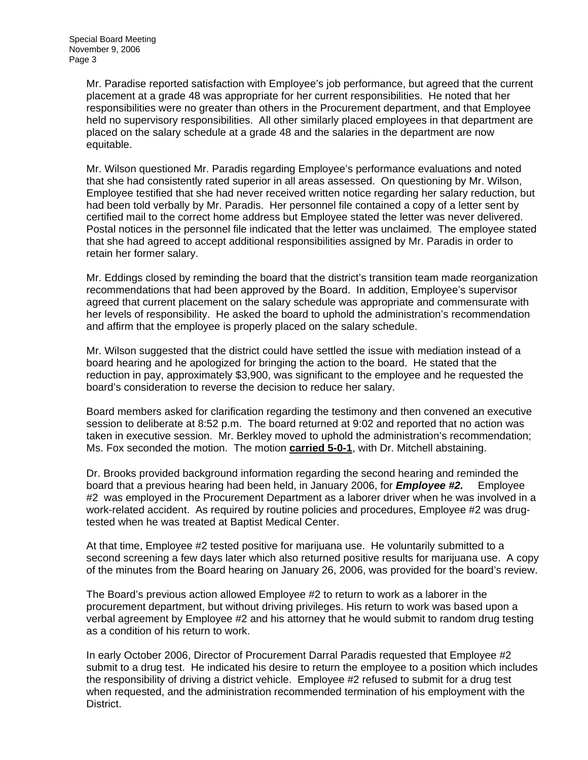Mr. Paradise reported satisfaction with Employee's job performance, but agreed that the current placement at a grade 48 was appropriate for her current responsibilities. He noted that her responsibilities were no greater than others in the Procurement department, and that Employee held no supervisory responsibilities. All other similarly placed employees in that department are placed on the salary schedule at a grade 48 and the salaries in the department are now equitable.

Mr. Wilson questioned Mr. Paradis regarding Employee's performance evaluations and noted that she had consistently rated superior in all areas assessed. On questioning by Mr. Wilson, Employee testified that she had never received written notice regarding her salary reduction, but had been told verbally by Mr. Paradis. Her personnel file contained a copy of a letter sent by certified mail to the correct home address but Employee stated the letter was never delivered. Postal notices in the personnel file indicated that the letter was unclaimed. The employee stated that she had agreed to accept additional responsibilities assigned by Mr. Paradis in order to retain her former salary.

Mr. Eddings closed by reminding the board that the district's transition team made reorganization recommendations that had been approved by the Board. In addition, Employee's supervisor agreed that current placement on the salary schedule was appropriate and commensurate with her levels of responsibility. He asked the board to uphold the administration's recommendation and affirm that the employee is properly placed on the salary schedule.

Mr. Wilson suggested that the district could have settled the issue with mediation instead of a board hearing and he apologized for bringing the action to the board. He stated that the reduction in pay, approximately \$3,900, was significant to the employee and he requested the board's consideration to reverse the decision to reduce her salary.

Board members asked for clarification regarding the testimony and then convened an executive session to deliberate at 8:52 p.m. The board returned at 9:02 and reported that no action was taken in executive session. Mr. Berkley moved to uphold the administration's recommendation; Ms. Fox seconded the motion. The motion **carried 5-0-1**, with Dr. Mitchell abstaining.

Dr. Brooks provided background information regarding the second hearing and reminded the board that a previous hearing had been held, in January 2006, for *Employee #2.* Employee #2 was employed in the Procurement Department as a laborer driver when he was involved in a work-related accident. As required by routine policies and procedures, Employee #2 was drugtested when he was treated at Baptist Medical Center.

At that time, Employee #2 tested positive for marijuana use. He voluntarily submitted to a second screening a few days later which also returned positive results for marijuana use. A copy of the minutes from the Board hearing on January 26, 2006, was provided for the board's review.

The Board's previous action allowed Employee #2 to return to work as a laborer in the procurement department, but without driving privileges. His return to work was based upon a verbal agreement by Employee #2 and his attorney that he would submit to random drug testing as a condition of his return to work.

In early October 2006, Director of Procurement Darral Paradis requested that Employee #2 submit to a drug test. He indicated his desire to return the employee to a position which includes the responsibility of driving a district vehicle. Employee #2 refused to submit for a drug test when requested, and the administration recommended termination of his employment with the District.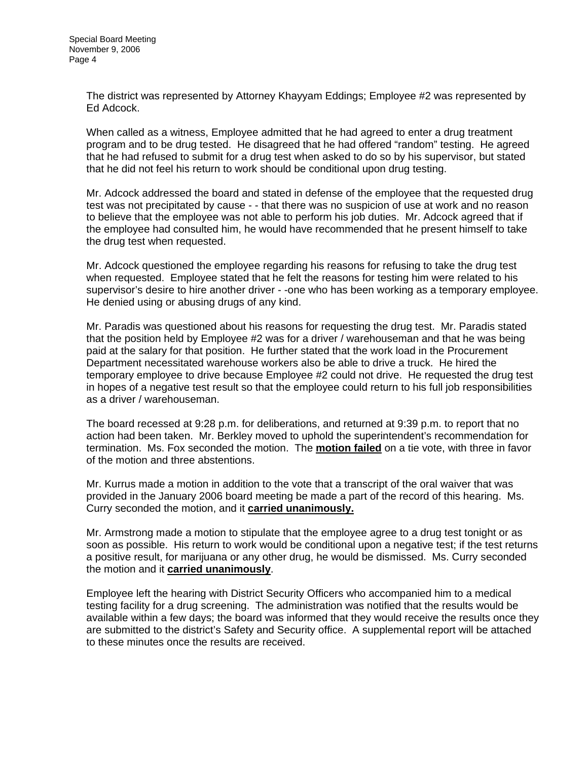The district was represented by Attorney Khayyam Eddings; Employee #2 was represented by Ed Adcock.

When called as a witness, Employee admitted that he had agreed to enter a drug treatment program and to be drug tested. He disagreed that he had offered "random" testing. He agreed that he had refused to submit for a drug test when asked to do so by his supervisor, but stated that he did not feel his return to work should be conditional upon drug testing.

Mr. Adcock addressed the board and stated in defense of the employee that the requested drug test was not precipitated by cause - - that there was no suspicion of use at work and no reason to believe that the employee was not able to perform his job duties. Mr. Adcock agreed that if the employee had consulted him, he would have recommended that he present himself to take the drug test when requested.

Mr. Adcock questioned the employee regarding his reasons for refusing to take the drug test when requested. Employee stated that he felt the reasons for testing him were related to his supervisor's desire to hire another driver - -one who has been working as a temporary employee. He denied using or abusing drugs of any kind.

Mr. Paradis was questioned about his reasons for requesting the drug test. Mr. Paradis stated that the position held by Employee #2 was for a driver / warehouseman and that he was being paid at the salary for that position. He further stated that the work load in the Procurement Department necessitated warehouse workers also be able to drive a truck. He hired the temporary employee to drive because Employee #2 could not drive. He requested the drug test in hopes of a negative test result so that the employee could return to his full job responsibilities as a driver / warehouseman.

The board recessed at 9:28 p.m. for deliberations, and returned at 9:39 p.m. to report that no action had been taken. Mr. Berkley moved to uphold the superintendent's recommendation for termination. Ms. Fox seconded the motion. The **motion failed** on a tie vote, with three in favor of the motion and three abstentions.

Mr. Kurrus made a motion in addition to the vote that a transcript of the oral waiver that was provided in the January 2006 board meeting be made a part of the record of this hearing. Ms. Curry seconded the motion, and it **carried unanimously.**

Mr. Armstrong made a motion to stipulate that the employee agree to a drug test tonight or as soon as possible. His return to work would be conditional upon a negative test; if the test returns a positive result, for marijuana or any other drug, he would be dismissed. Ms. Curry seconded the motion and it **carried unanimously**.

Employee left the hearing with District Security Officers who accompanied him to a medical testing facility for a drug screening. The administration was notified that the results would be available within a few days; the board was informed that they would receive the results once they are submitted to the district's Safety and Security office. A supplemental report will be attached to these minutes once the results are received.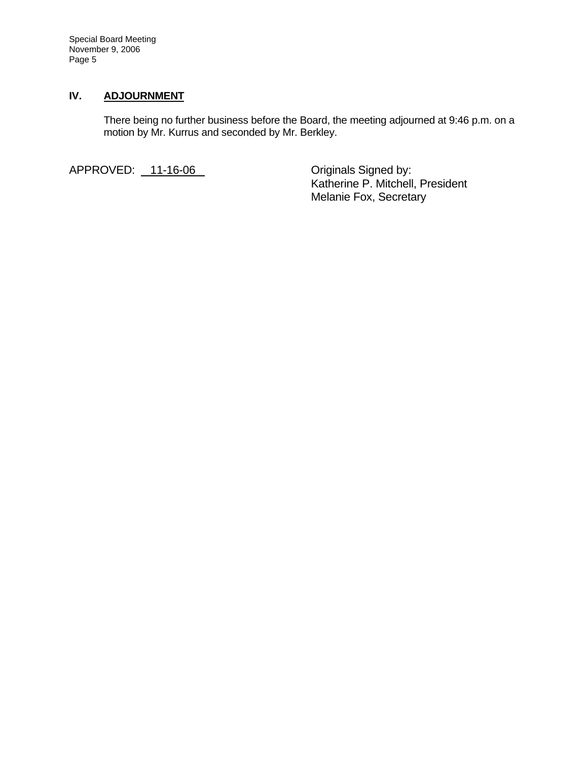Special Board Meeting November 9, 2006 Page 5

### **IV. ADJOURNMENT**

There being no further business before the Board, the meeting adjourned at 9:46 p.m. on a motion by Mr. Kurrus and seconded by Mr. Berkley.

APPROVED: 11-16-06 Criginals Signed by:

 Katherine P. Mitchell, President Melanie Fox, Secretary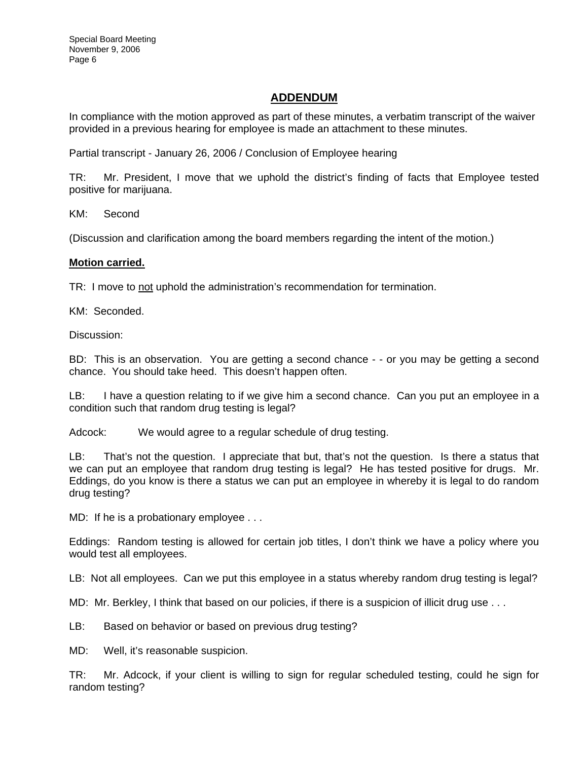## **ADDENDUM**

In compliance with the motion approved as part of these minutes, a verbatim transcript of the waiver provided in a previous hearing for employee is made an attachment to these minutes.

Partial transcript - January 26, 2006 / Conclusion of Employee hearing

TR: Mr. President, I move that we uphold the district's finding of facts that Employee tested positive for marijuana.

KM: Second

(Discussion and clarification among the board members regarding the intent of the motion.)

#### **Motion carried.**

TR: I move to not uphold the administration's recommendation for termination.

KM: Seconded.

Discussion:

BD: This is an observation. You are getting a second chance - - or you may be getting a second chance. You should take heed. This doesn't happen often.

LB: I have a question relating to if we give him a second chance. Can you put an employee in a condition such that random drug testing is legal?

Adcock: We would agree to a regular schedule of drug testing.

LB: That's not the question. I appreciate that but, that's not the question. Is there a status that we can put an employee that random drug testing is legal? He has tested positive for drugs. Mr. Eddings, do you know is there a status we can put an employee in whereby it is legal to do random drug testing?

MD: If he is a probationary employee . . .

Eddings: Random testing is allowed for certain job titles, I don't think we have a policy where you would test all employees.

LB: Not all employees. Can we put this employee in a status whereby random drug testing is legal?

MD: Mr. Berkley, I think that based on our policies, if there is a suspicion of illicit drug use . . .

LB: Based on behavior or based on previous drug testing?

MD: Well, it's reasonable suspicion.

TR: Mr. Adcock, if your client is willing to sign for regular scheduled testing, could he sign for random testing?